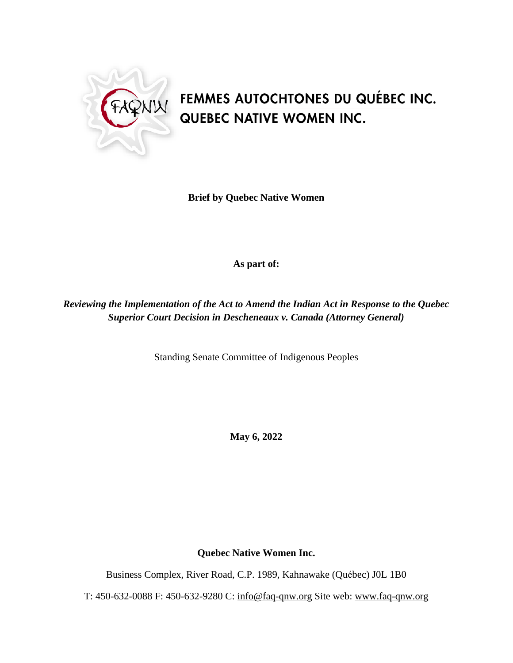

# FEMMES AUTOCHTONES DU QUÉBEC INC.<br>QUEBEC NATIVE WOMEN INC.

**Brief by Quebec Native Women**

## **As part of:**

*Reviewing the Implementation of the Act to Amend the Indian Act in Response to the Quebec Superior Court Decision in Descheneaux v. Canada (Attorney General)*

Standing Senate Committee of Indigenous Peoples

**May 6, 2022**

**Quebec Native Women Inc.**

Business Complex, River Road, C.P. 1989, Kahnawake (Québec) J0L 1B0

T: 450-632-0088 F: 450-632-9280 C: info@faq-qnw.org Site web: [www.faq-qnw.org](http://www.faq-qnw.org/)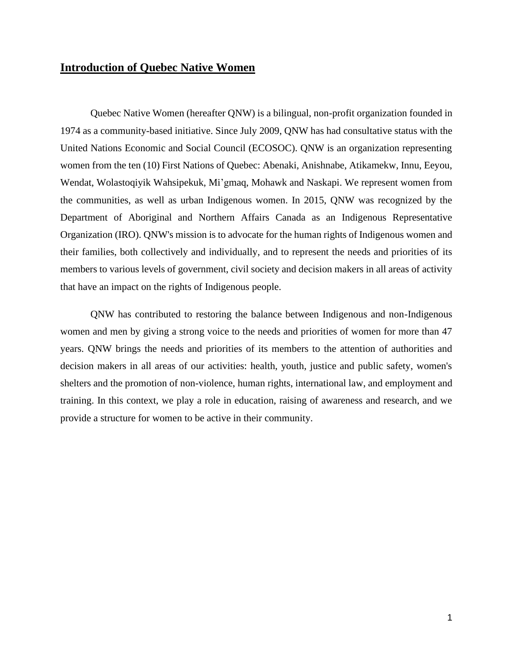## **Introduction of Quebec Native Women**

Quebec Native Women (hereafter QNW) is a bilingual, non-profit organization founded in 1974 as a community-based initiative. Since July 2009, QNW has had consultative status with the United Nations Economic and Social Council (ECOSOC). QNW is an organization representing women from the ten (10) First Nations of Quebec: Abenaki, Anishnabe, Atikamekw, Innu, Eeyou, Wendat, Wolastoqiyik Wahsipekuk, Mi'gmaq, Mohawk and Naskapi. We represent women from the communities, as well as urban Indigenous women. In 2015, QNW was recognized by the Department of Aboriginal and Northern Affairs Canada as an Indigenous Representative Organization (IRO). QNW's mission is to advocate for the human rights of Indigenous women and their families, both collectively and individually, and to represent the needs and priorities of its members to various levels of government, civil society and decision makers in all areas of activity that have an impact on the rights of Indigenous people.

QNW has contributed to restoring the balance between Indigenous and non-Indigenous women and men by giving a strong voice to the needs and priorities of women for more than 47 years. QNW brings the needs and priorities of its members to the attention of authorities and decision makers in all areas of our activities: health, youth, justice and public safety, women's shelters and the promotion of non-violence, human rights, international law, and employment and training. In this context, we play a role in education, raising of awareness and research, and we provide a structure for women to be active in their community.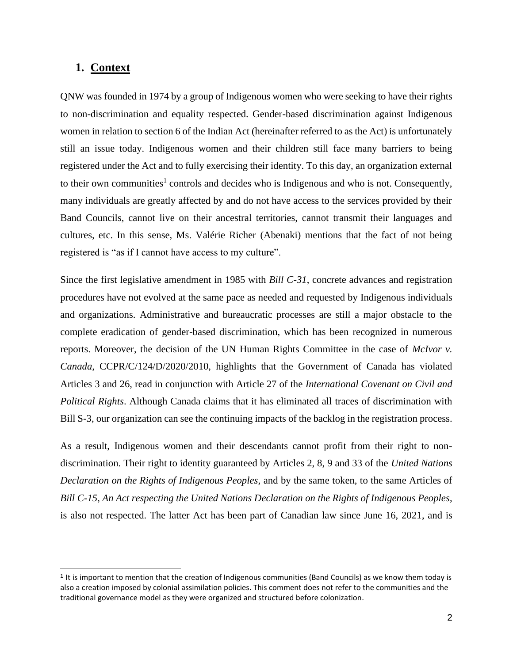### **1. Context**

QNW was founded in 1974 by a group of Indigenous women who were seeking to have their rights to non-discrimination and equality respected. Gender-based discrimination against Indigenous women in relation to section 6 of the Indian Act (hereinafter referred to as the Act) is unfortunately still an issue today. Indigenous women and their children still face many barriers to being registered under the Act and to fully exercising their identity. To this day, an organization external to their own communities<sup>1</sup> controls and decides who is Indigenous and who is not. Consequently, many individuals are greatly affected by and do not have access to the services provided by their Band Councils, cannot live on their ancestral territories, cannot transmit their languages and cultures, etc. In this sense, Ms. Valérie Richer (Abenaki) mentions that the fact of not being registered is "as if I cannot have access to my culture".

Since the first legislative amendment in 1985 with *Bill C-31*, concrete advances and registration procedures have not evolved at the same pace as needed and requested by Indigenous individuals and organizations. Administrative and bureaucratic processes are still a major obstacle to the complete eradication of gender-based discrimination, which has been recognized in numerous reports. Moreover, the decision of the UN Human Rights Committee in the case of *McIvor v. Canada*, CCPR/C/124/D/2020/2010, highlights that the Government of Canada has violated Articles 3 and 26, read in conjunction with Article 27 of the *International Covenant on Civil and Political Rights*. Although Canada claims that it has eliminated all traces of discrimination with Bill S-3, our organization can see the continuing impacts of the backlog in the registration process.

As a result, Indigenous women and their descendants cannot profit from their right to nondiscrimination. Their right to identity guaranteed by Articles 2, 8, 9 and 33 of the *United Nations Declaration on the Rights of Indigenous Peoples*, and by the same token, to the same Articles of *Bill C-15, An Act respecting the United Nations Declaration on the Rights of Indigenous Peoples*, is also not respected. The latter Act has been part of Canadian law since June 16, 2021, and is

<sup>1</sup> It is important to mention that the creation of Indigenous communities (Band Councils) as we know them today is also a creation imposed by colonial assimilation policies. This comment does not refer to the communities and the traditional governance model as they were organized and structured before colonization.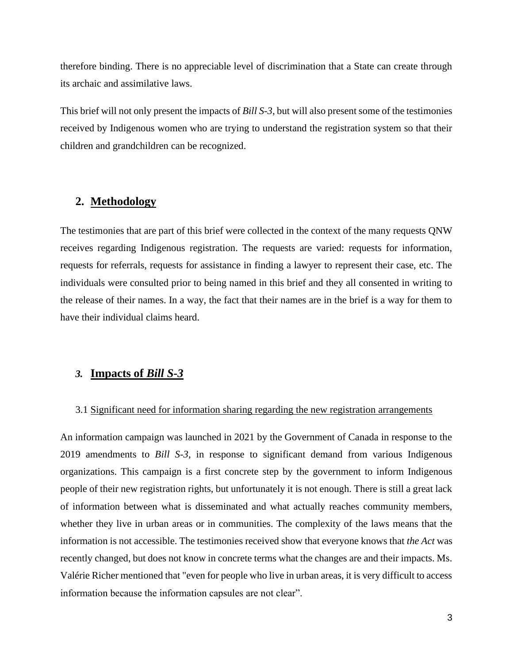therefore binding. There is no appreciable level of discrimination that a State can create through its archaic and assimilative laws.

This brief will not only present the impacts of *Bill S-3*, but will also present some of the testimonies received by Indigenous women who are trying to understand the registration system so that their children and grandchildren can be recognized.

## **2. Methodology**

The testimonies that are part of this brief were collected in the context of the many requests QNW receives regarding Indigenous registration. The requests are varied: requests for information, requests for referrals, requests for assistance in finding a lawyer to represent their case, etc. The individuals were consulted prior to being named in this brief and they all consented in writing to the release of their names. In a way, the fact that their names are in the brief is a way for them to have their individual claims heard.

#### *3.* **Impacts of** *Bill S-3*

#### 3.1 Significant need for information sharing regarding the new registration arrangements

An information campaign was launched in 2021 by the Government of Canada in response to the 2019 amendments to *Bill S-3*, in response to significant demand from various Indigenous organizations. This campaign is a first concrete step by the government to inform Indigenous people of their new registration rights, but unfortunately it is not enough. There is still a great lack of information between what is disseminated and what actually reaches community members, whether they live in urban areas or in communities. The complexity of the laws means that the information is not accessible. The testimonies received show that everyone knows that *the Act* was recently changed, but does not know in concrete terms what the changes are and their impacts. Ms. Valérie Richer mentioned that "even for people who live in urban areas, it is very difficult to access information because the information capsules are not clear".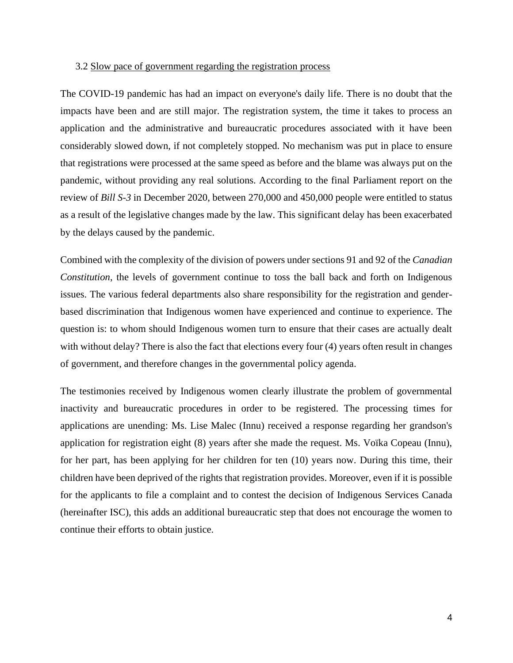#### 3.2 Slow pace of government regarding the registration process

The COVID-19 pandemic has had an impact on everyone's daily life. There is no doubt that the impacts have been and are still major. The registration system, the time it takes to process an application and the administrative and bureaucratic procedures associated with it have been considerably slowed down, if not completely stopped. No mechanism was put in place to ensure that registrations were processed at the same speed as before and the blame was always put on the pandemic, without providing any real solutions. According to the final Parliament report on the review of *Bill S-3* in December 2020, between 270,000 and 450,000 people were entitled to status as a result of the legislative changes made by the law. This significant delay has been exacerbated by the delays caused by the pandemic.

Combined with the complexity of the division of powers under sections 91 and 92 of the *Canadian Constitution*, the levels of government continue to toss the ball back and forth on Indigenous issues. The various federal departments also share responsibility for the registration and genderbased discrimination that Indigenous women have experienced and continue to experience. The question is: to whom should Indigenous women turn to ensure that their cases are actually dealt with without delay? There is also the fact that elections every four (4) years often result in changes of government, and therefore changes in the governmental policy agenda.

The testimonies received by Indigenous women clearly illustrate the problem of governmental inactivity and bureaucratic procedures in order to be registered. The processing times for applications are unending: Ms. Lise Malec (Innu) received a response regarding her grandson's application for registration eight (8) years after she made the request. Ms. Voïka Copeau (Innu), for her part, has been applying for her children for ten (10) years now. During this time, their children have been deprived of the rights that registration provides. Moreover, even if it is possible for the applicants to file a complaint and to contest the decision of Indigenous Services Canada (hereinafter ISC), this adds an additional bureaucratic step that does not encourage the women to continue their efforts to obtain justice.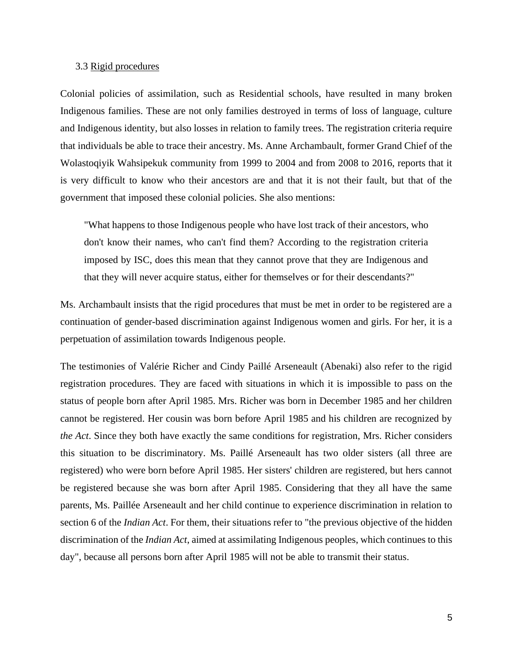#### 3.3 Rigid procedures

Colonial policies of assimilation, such as Residential schools, have resulted in many broken Indigenous families. These are not only families destroyed in terms of loss of language, culture and Indigenous identity, but also losses in relation to family trees. The registration criteria require that individuals be able to trace their ancestry. Ms. Anne Archambault, former Grand Chief of the Wolastoqiyik Wahsipekuk community from 1999 to 2004 and from 2008 to 2016, reports that it is very difficult to know who their ancestors are and that it is not their fault, but that of the government that imposed these colonial policies. She also mentions:

"What happens to those Indigenous people who have lost track of their ancestors, who don't know their names, who can't find them? According to the registration criteria imposed by ISC, does this mean that they cannot prove that they are Indigenous and that they will never acquire status, either for themselves or for their descendants?"

Ms. Archambault insists that the rigid procedures that must be met in order to be registered are a continuation of gender-based discrimination against Indigenous women and girls. For her, it is a perpetuation of assimilation towards Indigenous people.

The testimonies of Valérie Richer and Cindy Paillé Arseneault (Abenaki) also refer to the rigid registration procedures. They are faced with situations in which it is impossible to pass on the status of people born after April 1985. Mrs. Richer was born in December 1985 and her children cannot be registered. Her cousin was born before April 1985 and his children are recognized by *the Act*. Since they both have exactly the same conditions for registration, Mrs. Richer considers this situation to be discriminatory. Ms. Paillé Arseneault has two older sisters (all three are registered) who were born before April 1985. Her sisters' children are registered, but hers cannot be registered because she was born after April 1985. Considering that they all have the same parents, Ms. Paillée Arseneault and her child continue to experience discrimination in relation to section 6 of the *Indian Act*. For them, their situations refer to "the previous objective of the hidden discrimination of the *Indian Act*, aimed at assimilating Indigenous peoples, which continues to this day", because all persons born after April 1985 will not be able to transmit their status.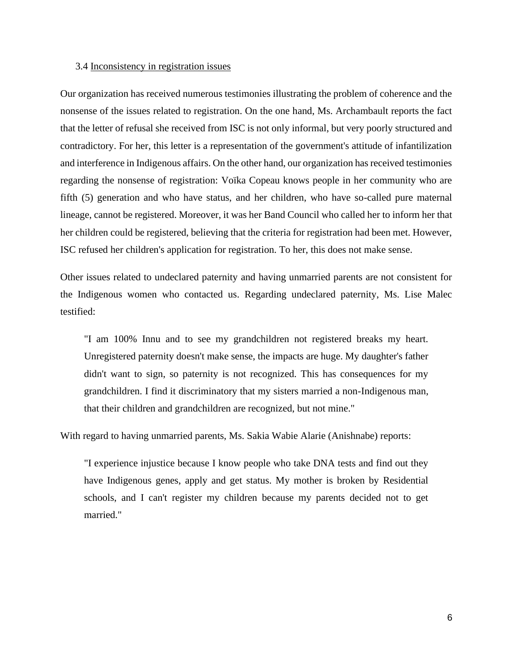#### 3.4 Inconsistency in registration issues

Our organization has received numerous testimonies illustrating the problem of coherence and the nonsense of the issues related to registration. On the one hand, Ms. Archambault reports the fact that the letter of refusal she received from ISC is not only informal, but very poorly structured and contradictory. For her, this letter is a representation of the government's attitude of infantilization and interference in Indigenous affairs. On the other hand, our organization has received testimonies regarding the nonsense of registration: Voïka Copeau knows people in her community who are fifth (5) generation and who have status, and her children, who have so-called pure maternal lineage, cannot be registered. Moreover, it was her Band Council who called her to inform her that her children could be registered, believing that the criteria for registration had been met. However, ISC refused her children's application for registration. To her, this does not make sense.

Other issues related to undeclared paternity and having unmarried parents are not consistent for the Indigenous women who contacted us. Regarding undeclared paternity, Ms. Lise Malec testified:

"I am 100% Innu and to see my grandchildren not registered breaks my heart. Unregistered paternity doesn't make sense, the impacts are huge. My daughter's father didn't want to sign, so paternity is not recognized. This has consequences for my grandchildren. I find it discriminatory that my sisters married a non-Indigenous man, that their children and grandchildren are recognized, but not mine."

With regard to having unmarried parents, Ms. Sakia Wabie Alarie (Anishnabe) reports:

"I experience injustice because I know people who take DNA tests and find out they have Indigenous genes, apply and get status. My mother is broken by Residential schools, and I can't register my children because my parents decided not to get married."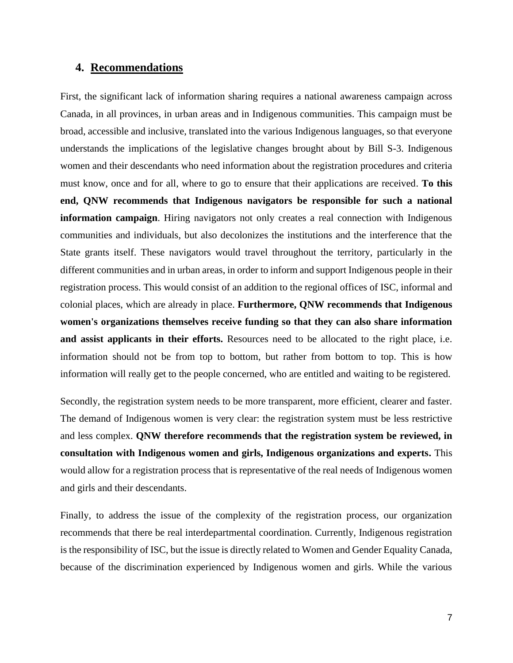## **4. Recommendations**

First, the significant lack of information sharing requires a national awareness campaign across Canada, in all provinces, in urban areas and in Indigenous communities. This campaign must be broad, accessible and inclusive, translated into the various Indigenous languages, so that everyone understands the implications of the legislative changes brought about by Bill S-3. Indigenous women and their descendants who need information about the registration procedures and criteria must know, once and for all, where to go to ensure that their applications are received. **To this end, QNW recommends that Indigenous navigators be responsible for such a national information campaign**. Hiring navigators not only creates a real connection with Indigenous communities and individuals, but also decolonizes the institutions and the interference that the State grants itself. These navigators would travel throughout the territory, particularly in the different communities and in urban areas, in order to inform and support Indigenous people in their registration process. This would consist of an addition to the regional offices of ISC, informal and colonial places, which are already in place. **Furthermore, QNW recommends that Indigenous women's organizations themselves receive funding so that they can also share information and assist applicants in their efforts.** Resources need to be allocated to the right place, i.e. information should not be from top to bottom, but rather from bottom to top. This is how information will really get to the people concerned, who are entitled and waiting to be registered.

Secondly, the registration system needs to be more transparent, more efficient, clearer and faster. The demand of Indigenous women is very clear: the registration system must be less restrictive and less complex. **QNW therefore recommends that the registration system be reviewed, in consultation with Indigenous women and girls, Indigenous organizations and experts.** This would allow for a registration process that is representative of the real needs of Indigenous women and girls and their descendants.

Finally, to address the issue of the complexity of the registration process, our organization recommends that there be real interdepartmental coordination. Currently, Indigenous registration is the responsibility of ISC, but the issue is directly related to Women and Gender Equality Canada, because of the discrimination experienced by Indigenous women and girls. While the various